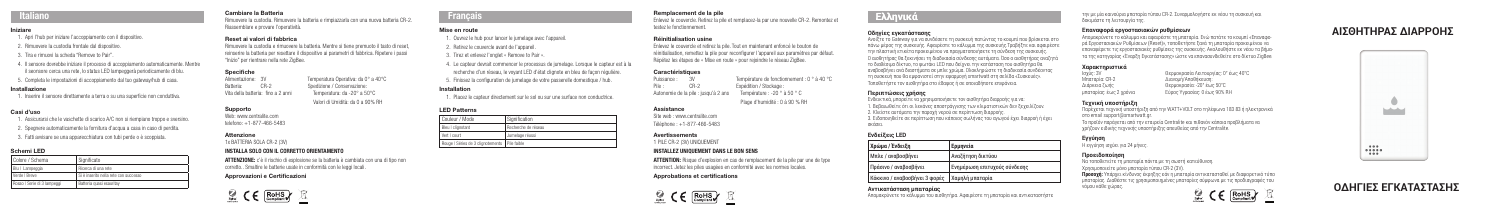## Italiano

#### Iniziare

- 1. Apri l'hub per iniziare l'accoppiamento con il dispositivo.
- 2. Rimuovere la custodia frontale dal dispositivo.
- 3. Tira e rimuovi la scheda "Remove to Pair".
- 4. Il sensore dovrebbe iniziare il processo di accoppiamento automaticamente. Mentre il seonsore cerca una rete, lo status LED lampeggerà periodicamente di blu.
- 5. Completa le impostazioni di accoppiamento dal tuo gateway/hub di casa.

#### Installazione

1. Inserire il sensore direttamente a terra o su una superficie non conduttiva.

#### Casi d'uso

- 1. Assicurarsi che le vaschette di scarico A/C non si riempiano troppo e sversino.
- 2. Spegnere automaticamente la fornitura d'acqua a casa in caso di perdita.
- 3. Fatti avvisare se una apparecchiatura con tubi perde o è scoppiata.

#### Schemi LED

ATTENZIONE: c'è il rischio di esplosione se la batteria è cambiata con una di tipo non corretto.. Smaltire le batterie usate in conformità con le leggi locali.

| Colore / Schema             | I Significato                           |
|-----------------------------|-----------------------------------------|
| Blu   Lampeggia             | Ricerca di una rete                     |
| Verde   Breve               | I Si è inserito nella rete con successo |
| Rosso   Serie di 3 lampeggi | Batteria quasi esauritav                |

### Cambiare la Batteria

Rimuovere la custodia. Rimuovere la batteria e rimpiazzarla con una nuova batteria CR-2. Riassemblare e provare l'operatività.

#### Reset ai valori di fabbrica

Rimuovere la custodia e rimuovere la batteria. Mentre si tiene premuoto il tasto di reset, reinserire la batteria per resettare il dispositivo ai parametri di fabbrica. Ripetere i passi "Inizio" per rientrare nella rete ZigBee.

Temperatura Operativa: da 0° a 40°C

Valori di Umidità: da 0 a 90% RH

# **Specifiche**<br>Alimentazione: 3V

Batteria: CR-2 Spedizione / Conservazione:<br>
Vita della batteria: fino a 2 anni Temperatura: da -20° a 50°C Vita della batteria: fino a 2 anni

### Supporto

Web: www.centralite.com telefono: +1-877-466-5483

#### Attenzione

1x BATTERIA SOLA CR-2 (3V)

### INSTALLA SOLO CON IL CORRETTO ORIENTAMENTO

#### Approvazioni e Certificazioni



## **Français**

#### Mise en route

1. Ouvrez le hub pour lancer le jumelage avec l'appareil.

2. Retirez le couvercle avant de l'appareil.

3. Tirez et enlevez l'onglet « Remove to Pair ».

4. Le capteur devrait commencer le processus de jumelage. Lorsque le capteur est à la recherche d'un réseau, le voyant LED d'état clignote en bleu de façon régulière.

5. Finissez la configuration de jumelage de votre passerelle domestique / hub.

#### Installation

1. Placez le capteur directement sur le sol ou sur une surface non conductrice.

#### LED Patterns

| Couleur / Mode                                  | Signification       |
|-------------------------------------------------|---------------------|
| Bleu   clignotant                               | Recherche de réseau |
| Vert   court                                    | Jumelage réussi     |
| Rouge   Séries de 3 clignotements   Pile faible |                     |

#### Remplacement de la pile

Enlevez le couvercle. Retirez la pile et remplacez-la par une nouvelle CR-2. Remontez et testez le fonctionnement.

#### Réinitialisation usine

Enlevez le couvercle et retirez la pile. Tout en maintenant enfoncé le bouton de réinitialisation, remettez la pile pour reconfigurer l'appareil aux paramètres par défaut. Répétez les étapes de « Mise en route » pour rejoindre le réseau ZigBee.

#### **Caractéristiques**

Puissance : 3V Température de fonctionnement : 0 ° à 40 °C Pile : CR-2 Expédition / Stockage : Autonomie de la pile : jusqu'à 2 ans Température : -20 ° à 50 ° C

Plage d'humidité : 0 à 90 % RH

#### Assistance

Site web : www.centralite.com Téléphone : +1-877-466-5483

#### Avertissements

1 PILE CR-2 (3V) UNIQUEMENT

#### INSTALLEZ UNIQUEMENT DANS LE BON SENS

ATTENTION: Risque d'explosion en cas de remplacement de la pile par une de type incorrect. Jetez les piles usagées en conformité avec les normes locales.

Approbations et certifications



### **Οδηγίες εγκατάστασης**

Ανοίξτε το Gateway για να συνδέσετε τη συσκευή πατώντας το κουμπί που βρίσκεται στο πάνω μέρος της συσκευής. Αφαιρέστε το κάλυμμα της συσκευής.Τραβήξτε και αφαιρέστε την πλαστική ετικέτα προκειμένου να πραγματοποιήσετε τη σύνδεση της συσκευής. Ο αισθητήρας θα ξεκινήσει τη διαδικασία σύνδεσης αυτόματα. Όσο ο αισθητήρας αναζητά το διαθέσιμο δίκτυο, το φωτάκι LED που δείχνει την κατάσταση του αισθητήρα θα αναβοσβήνει ανά διαστήματα σε μπλε χρώμα. Ολοκληρώστε τη διαδικασία συνδέοντας τη συσκευή που θα εμφανιστεί στην εφαρμογή smartwatt στη σελίδα «Συσκευές». Τοποθετήστε τον αισθητήρα στο έδαφος ή σε οποιαδήποτε επιφάνεια.

#### **Περιπτώσεις χρήσης**

Ενδεικτικά, μπορείτε να χρησιμοποιήσετε τον αισθητήρα διαρροής για να: 1. Βεβαιωθείτε ότι οι λεκάνες αποστράγγισης των κλιματιστικών δεν ξεχειλίζουν. 2. Κλείστε αυτόματα την παροχή νερού σε περίπτωση διαρροής. 3. Ειδοποιηθείτε σε περίπτωση που κάποιος σωλήνας του αγωγού έχει διαρροή ή έχει σκάσει.

## **Ενδείξεις LED**

*Χρώμα /* <u>Πράσινο</u>

| Χρώμα / Ένδειξη               | <b>Ερμηνεία</b>              |
|-------------------------------|------------------------------|
| Μπλε / αναβοσβήνει            | Αναζήτηση δικτύου            |
| Πράσινο / αναβοσβήνει         | Ενημέρωση επιτυχούς σύνδεσης |
| Κόκκινο / αναβοσβήνει 3 φορές | Χαμηλή μπαταρία              |

#### **Αντικατάσταση μπαταρίας**

Απομακρύνετε το κάλυμμα του αισθητήρα. Αφαιρέστε τη μπαταρία και αντικαταστήστε

την με μία καινούρια μπαταρία τύπου CR-2. Συναρμολογήστε εκ νέου τη συσκευή και δοκιμάστε τη λειτουργία της.

#### **Επαναφορά εργοστασιακών ρυθμίσεων**

Απομακρύνετε το κάλυμμα και αφαιρέστε τη μπαταρία. Ενώ πατάτε το κουμπί «Επαναφορά Εργοστασιακών Ρυθμίσεων (Reset)», τοποθετήστε ξανά τη μπαταρία προκειμένου να επαναφέρετε τις εργοστασιακές ρυθμίσεις της συσκευής. Ακολουθήστε εκ νέου τα βήματα της κατηγορίας «Έναρξη Εγκατάστασης» ώστε να επανασυνδεθείτε στο δίκτυο ZigBee.

# **Χαρακτηριστικά**

Ισχύς: 3V Θερμοκρασία Λειτουργίας: 0° έως 40°C Μπαταρία: CR-2 Διανομή/Αποθήκευση: μπαταρίας: έως 2 χρόνια Εύρος Υγρασίας: 0 έως 90% RH

Διάρκεια ζωής Θερμοκρασία: -20° έως 50°C

**Τεχνική υποστήριξη**

Παρέχεται τεχνική υποστήριξη από την WATT+VOLT στο τηλέφωνο 183 83 ή ηλεκτρονικά στο email support@smartwatt.gr. Το προϊόν παράγεται από την εταιρεία Centralite και πιθανόν κάποια προβλήματα να

χρήζουν ειδικής τεχνικής υποστήριξης απευθείας από την Centralite.

### **Εγγύηση**

Η εγγύηση ισχύει για 24 μήνες.

#### **Προειδοποίηση**

Να τοποθετείτε τη μπαταρία πάντα με τη σωστή κατεύθυνση.

Χρησιμοποιείτε μόνο μπαταρία τύπου CR-2 (3V).

**Προσοχή:** Υπάρχει κίνδυνος έκρηξης εάν η μπαταρία αντικατασταθεί με διαφορετικό τύπο μπαταρίας. Διαθέστε τις χρησιμοποιημένες μπαταρίες σύμφωνα με τις προδιαγραφές του νόμου κάθε χώρας.

 $\circledcirc$   $\mathsf{C}\in\overline{\mathsf{RoHS}}$   $\mathbb{R}$ 

# **Ελληνικά**

# **ΑΙΣΘΗΤΗΡΑΣ ΔΙΑΡΡΟΗΣ**



## **ΟΔΗΓΙΕΣ ΕΓΚΑΤΑΣΤΑΣΗΣ**